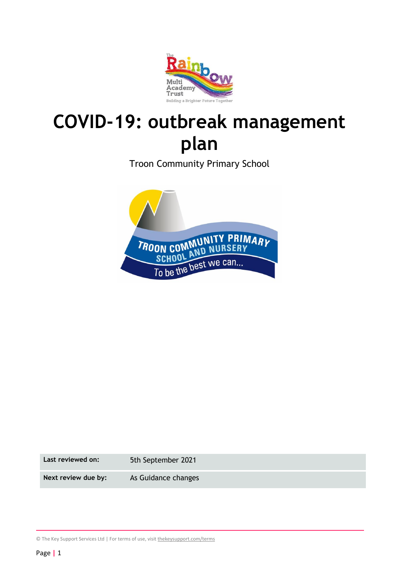

# **COVID-19: outbreak management plan**

Troon Community Primary School



**Last reviewed on:** 5th September 2021

Next review due by: As Guidance changes

© The Key Support Services Ltd | For terms of use, visit [thekeysupport.com/terms](https://thekeysupport.com/terms-of-use)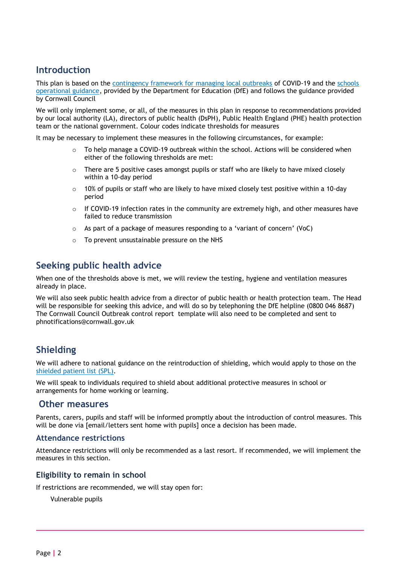## **Introduction**

This plan is based on the [contingency framework for managing local outbreaks](https://www.gov.uk/government/publications/coronavirus-covid-19-local-restrictions-in-education-and-childcare-settings) of COVID-19 and the schools [operational guidance,](https://www.gov.uk/government/publications/actions-for-schools-during-the-coronavirus-outbreak) provided by the Department for Education (DfE) and follows the guidance provided by Cornwall Council

We will only implement some, or all, of the measures in this plan in response to recommendations provided by our local authority (LA), directors of public health (DsPH), Public Health England (PHE) health protection team or the national government. Colour codes indicate thresholds for measures

It may be necessary to implement these measures in the following circumstances, for example:

- $\circ$  To help manage a COVID-19 outbreak within the school. Actions will be considered when either of the following thresholds are met:
- $\circ$  There are 5 positive cases amongst pupils or staff who are likely to have mixed closely within a 10-day period
- $\circ$  10% of pupils or staff who are likely to have mixed closely test positive within a 10-day period
- $\circ$  If COVID-19 infection rates in the community are extremely high, and other measures have failed to reduce transmission
- $\circ$  As part of a package of measures responding to a 'variant of concern' (VoC)
- o To prevent unsustainable pressure on the NHS

### **Seeking public health advice**

When one of the thresholds above is met, we will review the testing, hygiene and ventilation measures already in place.

We will also seek public health advice from a director of public health or health protection team. The Head will be responsible for seeking this advice, and will do so by telephoning the DfE helpline (0800 046 8687) The Cornwall Council Outbreak control report template will also need to be completed and sent to phnotifications@cornwall.gov.uk

## **Shielding**

We will adhere to national guidance on the reintroduction of shielding, which would apply to those on the [shielded patient list \(SPL\).](https://digital.nhs.uk/coronavirus/shielded-patient-list)

We will speak to individuals required to shield about additional protective measures in school or arrangements for home working or learning.

#### **Other measures**

Parents, carers, pupils and staff will be informed promptly about the introduction of control measures. This will be done via [email/letters sent home with pupils] once a decision has been made.

#### **Attendance restrictions**

Attendance restrictions will only be recommended as a last resort. If recommended, we will implement the measures in this section.

#### **Eligibility to remain in school**

If restrictions are recommended, we will stay open for:

Vulnerable pupils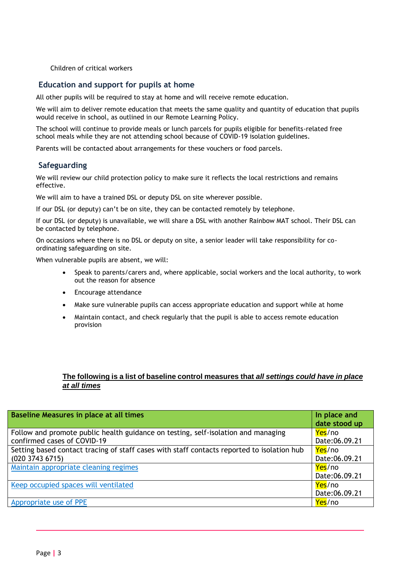Children of critical workers

#### **Education and support for pupils at home**

All other pupils will be required to stay at home and will receive remote education.

We will aim to deliver remote education that meets the same quality and quantity of education that pupils would receive in school, as outlined in our Remote Learning Policy.

The school will continue to provide meals or lunch parcels for pupils eligible for benefits-related free school meals while they are not attending school because of COVID-19 isolation guidelines.

Parents will be contacted about arrangements for these vouchers or food parcels.

#### **Safeguarding**

We will review our child protection policy to make sure it reflects the local restrictions and remains effective.

We will aim to have a trained DSL or deputy DSL on site wherever possible.

If our DSL (or deputy) can't be on site, they can be contacted remotely by telephone.

If our DSL (or deputy) is unavailable, we will share a DSL with another Rainbow MAT school. Their DSL can be contacted by telephone.

On occasions where there is no DSL or deputy on site, a senior leader will take responsibility for coordinating safeguarding on site.

When vulnerable pupils are absent, we will:

- Speak to parents/carers and, where applicable, social workers and the local authority, to work out the reason for absence
- Encourage attendance
- Make sure vulnerable pupils can access appropriate education and support while at home
- Maintain contact, and check regularly that the pupil is able to access remote education provision

#### **The following is a list of baseline control measures that** *all settings could have in place at all times*

| Baseline Measures in place at all times                                                    | In place and<br>date stood up |
|--------------------------------------------------------------------------------------------|-------------------------------|
|                                                                                            |                               |
| Follow and promote public health guidance on testing, self-isolation and managing          | Yes/no                        |
| confirmed cases of COVID-19                                                                | Date:06.09.21                 |
| Setting based contact tracing of staff cases with staff contacts reported to isolation hub | Yes/no                        |
| $(020\ 3743\ 6715)$                                                                        | Date:06.09.21                 |
| Maintain appropriate cleaning regimes                                                      | Yes/no                        |
|                                                                                            | Date:06.09.21                 |
| Keep occupied spaces will ventilated                                                       | Yes/no                        |
|                                                                                            | Date:06.09.21                 |
| Appropriate use of PPE                                                                     | Yes/no                        |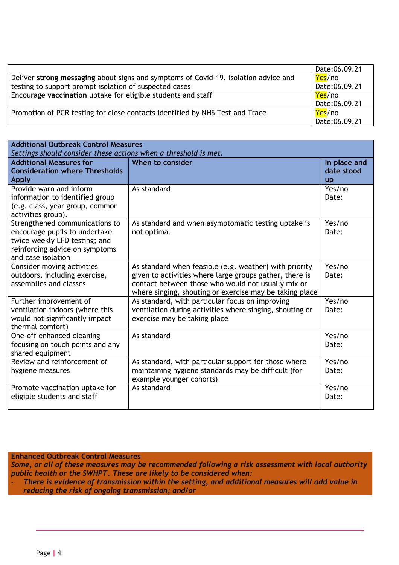|                                                                                     | Date:06.09.21 |
|-------------------------------------------------------------------------------------|---------------|
| Deliver strong messaging about signs and symptoms of Covid-19, isolation advice and | Yes/no        |
| testing to support prompt isolation of suspected cases                              | Date:06.09.21 |
| Encourage vaccination uptake for eligible students and staff                        | Yes/no        |
|                                                                                     | Date:06.09.21 |
| Promotion of PCR testing for close contacts identified by NHS Test and Trace        | Yes/no        |
|                                                                                     | Date:06.09.21 |

| <b>Additional Outbreak Control Measures</b><br>Settings should consider these actions when a threshold is met.                                           |                                                                                                                                                                                                                                    |                                         |  |
|----------------------------------------------------------------------------------------------------------------------------------------------------------|------------------------------------------------------------------------------------------------------------------------------------------------------------------------------------------------------------------------------------|-----------------------------------------|--|
| <b>Additional Measures for</b><br><b>Consideration where Thresholds</b><br><b>Apply</b>                                                                  | When to consider                                                                                                                                                                                                                   | In place and<br>date stood<br><b>up</b> |  |
| Provide warn and inform<br>information to identified group<br>(e.g. class, year group, common<br>activities group).                                      | As standard                                                                                                                                                                                                                        | Yes/no<br>Date:                         |  |
| Strengthened communications to<br>encourage pupils to undertake<br>twice weekly LFD testing; and<br>reinforcing advice on symptoms<br>and case isolation | As standard and when asymptomatic testing uptake is<br>not optimal                                                                                                                                                                 | Yes/no<br>Date:                         |  |
| Consider moving activities<br>outdoors, including exercise,<br>assemblies and classes                                                                    | As standard when feasible (e.g. weather) with priority<br>given to activities where large groups gather, there is<br>contact between those who would not usually mix or<br>where singing, shouting or exercise may be taking place | Yes/no<br>Date:                         |  |
| Further improvement of<br>ventilation indoors (where this<br>would not significantly impact<br>thermal comfort)                                          | As standard, with particular focus on improving<br>ventilation during activities where singing, shouting or<br>exercise may be taking place                                                                                        | Yes/no<br>Date:                         |  |
| One-off enhanced cleaning<br>focusing on touch points and any<br>shared equipment                                                                        | As standard                                                                                                                                                                                                                        | Yes/no<br>Date:                         |  |
| Review and reinforcement of<br>hygiene measures                                                                                                          | As standard, with particular support for those where<br>maintaining hygiene standards may be difficult (for<br>example younger cohorts)                                                                                            | Yes/no<br>Date:                         |  |
| Promote vaccination uptake for<br>eligible students and staff                                                                                            | As standard                                                                                                                                                                                                                        | Yes/no<br>Date:                         |  |

#### **Enhanced Outbreak Control Measures**

*Some, or all of these measures may be recommended following a risk assessment with local authority public health or the SWHPT. These are likely to be considered when:*

- *There is evidence of transmission within the setting, and additional measures will add value in reducing the risk of ongoing transmission; and/or*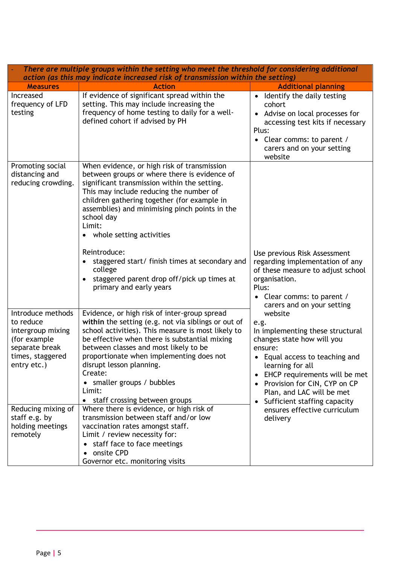| There are multiple groups within the setting who meet the threshold for considering additional<br>action (as this may indicate increased risk of transmission within the setting) |                                                                                                                                                                                                                                                                                                                                                                                                                                                                                                                     |                                                                                                                                                                                                                                                                                                            |  |
|-----------------------------------------------------------------------------------------------------------------------------------------------------------------------------------|---------------------------------------------------------------------------------------------------------------------------------------------------------------------------------------------------------------------------------------------------------------------------------------------------------------------------------------------------------------------------------------------------------------------------------------------------------------------------------------------------------------------|------------------------------------------------------------------------------------------------------------------------------------------------------------------------------------------------------------------------------------------------------------------------------------------------------------|--|
| <b>Measures</b>                                                                                                                                                                   | <b>Action</b>                                                                                                                                                                                                                                                                                                                                                                                                                                                                                                       | <b>Additional planning</b>                                                                                                                                                                                                                                                                                 |  |
| Increased<br>frequency of LFD<br>testing                                                                                                                                          | If evidence of significant spread within the<br>setting. This may include increasing the<br>frequency of home testing to daily for a well-<br>defined cohort if advised by PH                                                                                                                                                                                                                                                                                                                                       | • Identify the daily testing<br>cohort<br>• Advise on local processes for<br>accessing test kits if necessary<br>Plus:<br>Clear comms: to parent /<br>carers and on your setting<br>website                                                                                                                |  |
| Promoting social<br>distancing and<br>reducing crowding.                                                                                                                          | When evidence, or high risk of transmission<br>between groups or where there is evidence of<br>significant transmission within the setting.<br>This may include reducing the number of<br>children gathering together (for example in<br>assemblies) and minimising pinch points in the<br>school day<br>Limit:<br>whole setting activities<br>٠<br>Reintroduce:<br>staggered start/ finish times at secondary and<br>college<br>staggered parent drop off/pick up times at<br>$\bullet$<br>primary and early years | Use previous Risk Assessment<br>regarding implementation of any<br>of these measure to adjust school<br>organisation.<br>Plus:<br>• Clear comms: to parent /<br>carers and on your setting                                                                                                                 |  |
| Introduce methods<br>to reduce<br>intergroup mixing<br>(for example<br>separate break<br>times, staggered<br>entry etc.)                                                          | Evidence, or high risk of inter-group spread<br>within the setting (e.g. not via siblings or out of<br>school activities). This measure is most likely to<br>be effective when there is substantial mixing<br>between classes and most likely to be<br>proportionate when implementing does not<br>disrupt lesson planning.<br>Create:<br>smaller groups / bubbles<br>Limit:<br>staff crossing between groups<br>$\bullet$                                                                                          | website<br>e.g.<br>In implementing these structural<br>changes state how will you<br>ensure:<br>• Equal access to teaching and<br>learning for all<br>EHCP requirements will be met<br>$\bullet$<br>Provision for CiN, CYP on CP<br>$\bullet$<br>Plan, and LAC will be met<br>Sufficient staffing capacity |  |
| Reducing mixing of<br>staff e.g. by<br>holding meetings<br>remotely                                                                                                               | Where there is evidence, or high risk of<br>transmission between staff and/or low<br>vaccination rates amongst staff.<br>Limit / review necessity for:<br>staff face to face meetings<br>$\bullet$<br>onsite CPD<br>$\bullet$<br>Governor etc. monitoring visits                                                                                                                                                                                                                                                    | ensures effective curriculum<br>delivery                                                                                                                                                                                                                                                                   |  |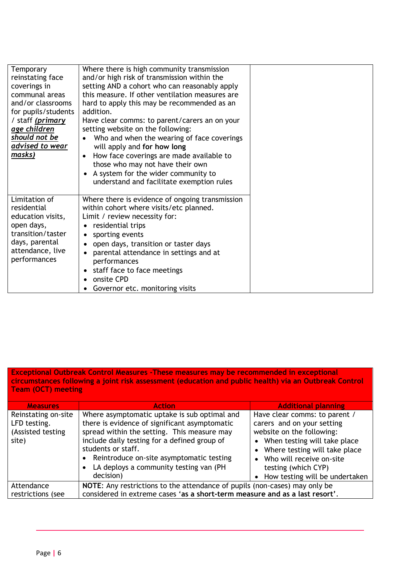| Temporary<br>reinstating face<br>coverings in<br>communal areas<br>and/or classrooms<br>for pupils/students<br>/ staff (primary<br>age children<br>should not be<br>advised to wear<br>masks) | Where there is high community transmission<br>and/or high risk of transmission within the<br>setting AND a cohort who can reasonably apply<br>this measure. If other ventilation measures are<br>hard to apply this may be recommended as an<br>addition.<br>Have clear comms: to parent/carers an on your<br>setting website on the following:<br>Who and when the wearing of face coverings<br>$\bullet$<br>will apply and for how long<br>How face coverings are made available to<br>$\bullet$<br>those who may not have their own<br>A system for the wider community to<br>understand and facilitate exemption rules |  |
|-----------------------------------------------------------------------------------------------------------------------------------------------------------------------------------------------|----------------------------------------------------------------------------------------------------------------------------------------------------------------------------------------------------------------------------------------------------------------------------------------------------------------------------------------------------------------------------------------------------------------------------------------------------------------------------------------------------------------------------------------------------------------------------------------------------------------------------|--|
| Limitation of<br>residential<br>education visits,<br>open days,<br>transition/taster<br>days, parental<br>attendance, live<br>performances                                                    | Where there is evidence of ongoing transmission<br>within cohort where visits/etc planned.<br>Limit / review necessity for:<br>residential trips<br>sporting events<br>open days, transition or taster days<br>parental attendance in settings and at<br>performances<br>staff face to face meetings<br>$\bullet$<br>onsite CPD<br>$\bullet$<br>Governor etc. monitoring visits                                                                                                                                                                                                                                            |  |

**Exceptional Outbreak Control Measures -These measures may be recommended in exceptional circumstances following a joint risk assessment (education and public health) via an Outbreak Control Team (OCT) meeting**

| <b>Measures</b>                                                   | <b>Action</b>                                                                                                                                                                                                                                                                                                                      | <b>Additional planning</b>                                                                                                                                                                                                                           |  |
|-------------------------------------------------------------------|------------------------------------------------------------------------------------------------------------------------------------------------------------------------------------------------------------------------------------------------------------------------------------------------------------------------------------|------------------------------------------------------------------------------------------------------------------------------------------------------------------------------------------------------------------------------------------------------|--|
| Reinstating on-site<br>LFD testing.<br>(Assisted testing<br>site) | Where asymptomatic uptake is sub optimal and<br>there is evidence of significant asymptomatic<br>spread within the setting. This measure may<br>include daily testing for a defined group of<br>students or staff.<br>Reintroduce on-site asymptomatic testing<br>$\bullet$<br>LA deploys a community testing van (PH<br>decision) | Have clear comms: to parent /<br>carers and on your setting<br>website on the following:<br>• When testing will take place<br>• Where testing will take place<br>• Who will receive on-site<br>testing (which CYP)<br>How testing will be undertaken |  |
| Attendance<br>restrictions (see                                   | NOTE: Any restrictions to the attendance of pupils (non-cases) may only be<br>considered in extreme cases 'as a short-term measure and as a last resort'.                                                                                                                                                                          |                                                                                                                                                                                                                                                      |  |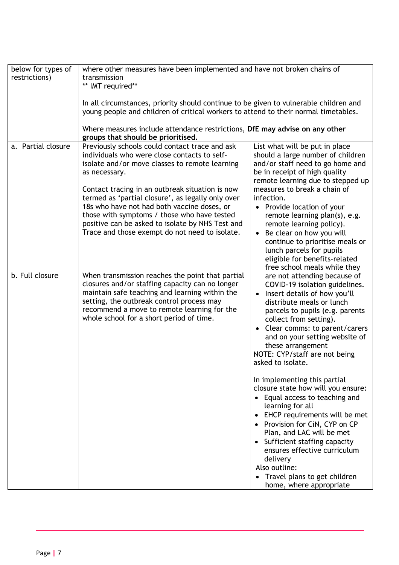| below for types of | where other measures have been implemented and have not broken chains of                                                                                                                                                                                                                                                                                                                                                    |                                                                                                                                                                                                                                                                                                                                                                                                                                                    |  |
|--------------------|-----------------------------------------------------------------------------------------------------------------------------------------------------------------------------------------------------------------------------------------------------------------------------------------------------------------------------------------------------------------------------------------------------------------------------|----------------------------------------------------------------------------------------------------------------------------------------------------------------------------------------------------------------------------------------------------------------------------------------------------------------------------------------------------------------------------------------------------------------------------------------------------|--|
| restrictions)      | transmission                                                                                                                                                                                                                                                                                                                                                                                                                |                                                                                                                                                                                                                                                                                                                                                                                                                                                    |  |
|                    | ** IMT required**                                                                                                                                                                                                                                                                                                                                                                                                           |                                                                                                                                                                                                                                                                                                                                                                                                                                                    |  |
|                    | In all circumstances, priority should continue to be given to vulnerable children and<br>young people and children of critical workers to attend to their normal timetables.<br>Where measures include attendance restrictions, DfE may advise on any other                                                                                                                                                                 |                                                                                                                                                                                                                                                                                                                                                                                                                                                    |  |
| a. Partial closure | groups that should be prioritised.<br>Previously schools could contact trace and ask                                                                                                                                                                                                                                                                                                                                        | List what will be put in place                                                                                                                                                                                                                                                                                                                                                                                                                     |  |
|                    | individuals who were close contacts to self-<br>isolate and/or move classes to remote learning<br>as necessary.<br>Contact tracing in an outbreak situation is now<br>termed as 'partial closure', as legally only over<br>18s who have not had both vaccine doses, or<br>those with symptoms / those who have tested<br>positive can be asked to isolate by NHS Test and<br>Trace and those exempt do not need to isolate. | should a large number of children<br>and/or staff need to go home and<br>be in receipt of high quality<br>remote learning due to stepped up<br>measures to break a chain of<br>infection.<br>• Provide location of your<br>remote learning plan(s), e.g.<br>remote learning policy).<br>• Be clear on how you will<br>continue to prioritise meals or<br>lunch parcels for pupils<br>eligible for benefits-related<br>free school meals while they |  |
| b. Full closure    | When transmission reaches the point that partial<br>closures and/or staffing capacity can no longer<br>maintain safe teaching and learning within the<br>setting, the outbreak control process may<br>recommend a move to remote learning for the<br>whole school for a short period of time.                                                                                                                               | are not attending because of<br>COVID-19 isolation guidelines.<br>Insert details of how you'll<br>distribute meals or lunch<br>parcels to pupils (e.g. parents<br>collect from setting).<br>• Clear comms: to parent/carers<br>and on your setting website of<br>these arrangement<br>NOTE: CYP/staff are not being<br>asked to isolate.                                                                                                           |  |
|                    |                                                                                                                                                                                                                                                                                                                                                                                                                             | In implementing this partial<br>closure state how will you ensure:<br>Equal access to teaching and<br>learning for all<br>• EHCP requirements will be met<br>• Provision for CiN, CYP on CP<br>Plan, and LAC will be met<br>Sufficient staffing capacity<br>ensures effective curriculum<br>delivery<br>Also outline:<br>• Travel plans to get children<br>home, where appropriate                                                                 |  |